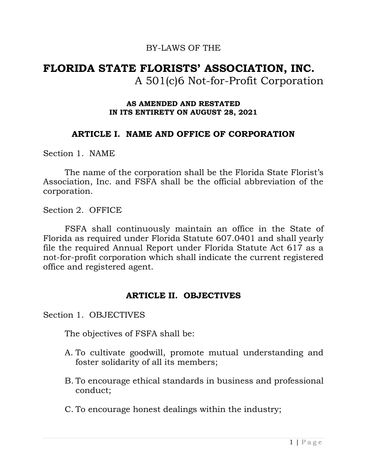#### BY-LAWS OF THE

# **FLORIDA STATE FLORISTS' ASSOCIATION, INC.** A 501(c)6 Not-for-Profit Corporation

#### **AS AMENDED AND RESTATED IN ITS ENTIRETY ON AUGUST 28, 2021**

#### **ARTICLE I. NAME AND OFFICE OF CORPORATION**

Section 1. NAME

The name of the corporation shall be the Florida State Florist's Association, Inc. and FSFA shall be the official abbreviation of the corporation.

Section 2. OFFICE

FSFA shall continuously maintain an office in the State of Florida as required under Florida Statute 607.0401 and shall yearly file the required Annual Report under Florida Statute Act 617 as a not-for-profit corporation which shall indicate the current registered office and registered agent.

#### **ARTICLE II. OBJECTIVES**

Section 1. OBJECTIVES

The objectives of FSFA shall be:

- A. To cultivate goodwill, promote mutual understanding and foster solidarity of all its members;
- B. To encourage ethical standards in business and professional conduct;
- C. To encourage honest dealings within the industry;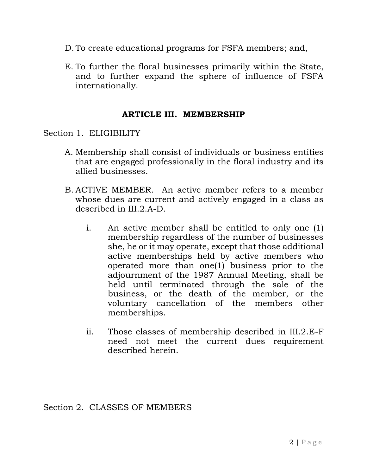- D. To create educational programs for FSFA members; and,
- E. To further the floral businesses primarily within the State, and to further expand the sphere of influence of FSFA internationally.

#### **ARTICLE III. MEMBERSHIP**

Section 1. ELIGIBILITY

- A. Membership shall consist of individuals or business entities that are engaged professionally in the floral industry and its allied businesses.
- B. ACTIVE MEMBER. An active member refers to a member whose dues are current and actively engaged in a class as described in III.2.A-D.
	- i. An active member shall be entitled to only one (1) membership regardless of the number of businesses she, he or it may operate, except that those additional active memberships held by active members who operated more than one(1) business prior to the adjournment of the 1987 Annual Meeting, shall be held until terminated through the sale of the business, or the death of the member, or the voluntary cancellation of the members other memberships.
	- ii. Those classes of membership described in III.2.E-F need not meet the current dues requirement described herein.

Section 2. CLASSES OF MEMBERS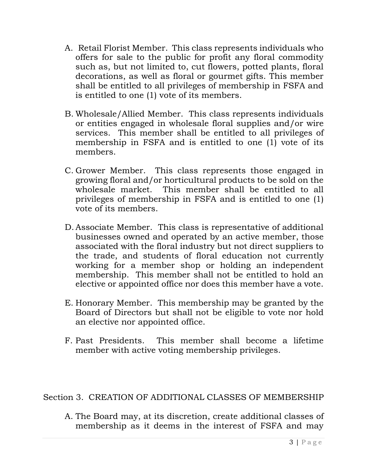- A. Retail Florist Member. This class represents individuals who offers for sale to the public for profit any floral commodity such as, but not limited to, cut flowers, potted plants, floral decorations, as well as floral or gourmet gifts. This member shall be entitled to all privileges of membership in FSFA and is entitled to one (1) vote of its members.
- B. Wholesale/Allied Member. This class represents individuals or entities engaged in wholesale floral supplies and/or wire services. This member shall be entitled to all privileges of membership in FSFA and is entitled to one (1) vote of its members.
- C. Grower Member. This class represents those engaged in growing floral and/or horticultural products to be sold on the wholesale market. This member shall be entitled to all privileges of membership in FSFA and is entitled to one (1) vote of its members.
- D.Associate Member. This class is representative of additional businesses owned and operated by an active member, those associated with the floral industry but not direct suppliers to the trade, and students of floral education not currently working for a member shop or holding an independent membership. This member shall not be entitled to hold an elective or appointed office nor does this member have a vote.
- E. Honorary Member. This membership may be granted by the Board of Directors but shall not be eligible to vote nor hold an elective nor appointed office.
- F. Past Presidents. This member shall become a lifetime member with active voting membership privileges.

Section 3. CREATION OF ADDITIONAL CLASSES OF MEMBERSHIP

A. The Board may, at its discretion, create additional classes of membership as it deems in the interest of FSFA and may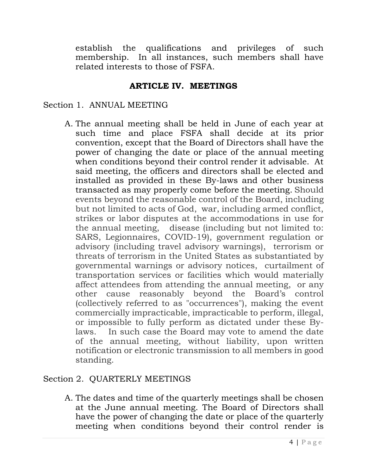establish the qualifications and privileges of such membership. In all instances, such members shall have related interests to those of FSFA.

#### **ARTICLE IV. MEETINGS**

### Section 1. ANNUAL MEETING

A. The annual meeting shall be held in June of each year at such time and place FSFA shall decide at its prior convention, except that the Board of Directors shall have the power of changing the date or place of the annual meeting when conditions beyond their control render it advisable. At said meeting, the officers and directors shall be elected and installed as provided in these By-laws and other business transacted as may properly come before the meeting. Should events beyond the reasonable control of the Board, including but not limited to acts of God, war, including armed conflict, strikes or labor disputes at the accommodations in use for the annual meeting, disease (including but not limited to: SARS, Legionnaires, COVID-19), government regulation or advisory (including travel advisory warnings), terrorism or threats of terrorism in the United States as substantiated by governmental warnings or advisory notices, curtailment of transportation services or facilities which would materially affect attendees from attending the annual meeting, or any other cause reasonably beyond the Board's control (collectively referred to as "occurrences"), making the event commercially impracticable, impracticable to perform, illegal, or impossible to fully perform as dictated under these Bylaws. In such case the Board may vote to amend the date of the annual meeting, without liability, upon written notification or electronic transmission to all members in good standing.

# Section 2. QUARTERLY MEETINGS

A. The dates and time of the quarterly meetings shall be chosen at the June annual meeting. The Board of Directors shall have the power of changing the date or place of the quarterly meeting when conditions beyond their control render is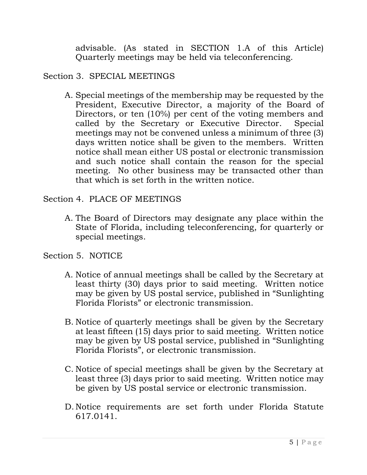advisable. (As stated in SECTION 1.A of this Article) Quarterly meetings may be held via teleconferencing.

### Section 3. SPECIAL MEETINGS

A. Special meetings of the membership may be requested by the President, Executive Director, a majority of the Board of Directors, or ten (10%) per cent of the voting members and called by the Secretary or Executive Director. Special meetings may not be convened unless a minimum of three (3) days written notice shall be given to the members. Written notice shall mean either US postal or electronic transmission and such notice shall contain the reason for the special meeting. No other business may be transacted other than that which is set forth in the written notice.

### Section 4. PLACE OF MEETINGS

A. The Board of Directors may designate any place within the State of Florida, including teleconferencing, for quarterly or special meetings.

# Section 5. NOTICE

- A. Notice of annual meetings shall be called by the Secretary at least thirty (30) days prior to said meeting. Written notice may be given by US postal service, published in "Sunlighting Florida Florists" or electronic transmission.
- B. Notice of quarterly meetings shall be given by the Secretary at least fifteen (15) days prior to said meeting. Written notice may be given by US postal service, published in "Sunlighting Florida Florists", or electronic transmission.
- C. Notice of special meetings shall be given by the Secretary at least three (3) days prior to said meeting. Written notice may be given by US postal service or electronic transmission.
- D. Notice requirements are set forth under Florida Statute 617.0141.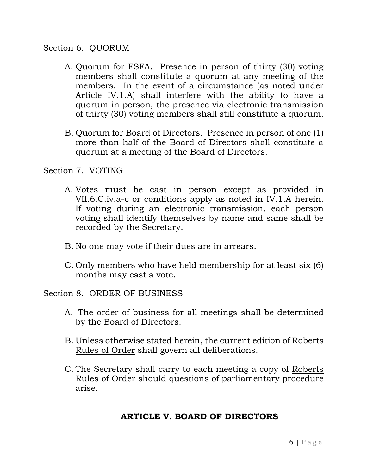#### Section 6. QUORUM

- A. Quorum for FSFA. Presence in person of thirty (30) voting members shall constitute a quorum at any meeting of the members. In the event of a circumstance (as noted under Article IV.1.A) shall interfere with the ability to have a quorum in person, the presence via electronic transmission of thirty (30) voting members shall still constitute a quorum.
- B. Quorum for Board of Directors. Presence in person of one (1) more than half of the Board of Directors shall constitute a quorum at a meeting of the Board of Directors.

Section 7. VOTING

- A. Votes must be cast in person except as provided in VII.6.C.iv.a-c or conditions apply as noted in IV.1.A herein. If voting during an electronic transmission, each person voting shall identify themselves by name and same shall be recorded by the Secretary.
- B. No one may vote if their dues are in arrears.
- C. Only members who have held membership for at least six (6) months may cast a vote.

Section 8. ORDER OF BUSINESS

- A. The order of business for all meetings shall be determined by the Board of Directors.
- B. Unless otherwise stated herein, the current edition of Roberts Rules of Order shall govern all deliberations.
- C. The Secretary shall carry to each meeting a copy of Roberts Rules of Order should questions of parliamentary procedure arise.

# **ARTICLE V. BOARD OF DIRECTORS**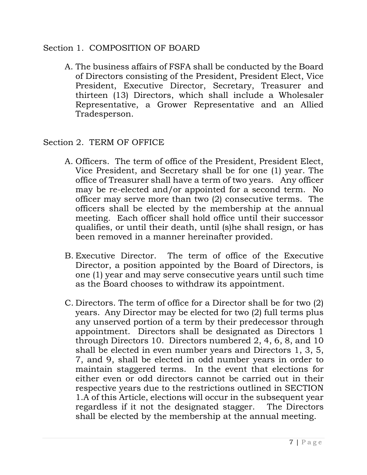#### Section 1. COMPOSITION OF BOARD

A. The business affairs of FSFA shall be conducted by the Board of Directors consisting of the President, President Elect, Vice President, Executive Director, Secretary, Treasurer and thirteen (13) Directors, which shall include a Wholesaler Representative, a Grower Representative and an Allied Tradesperson.

## Section 2. TERM OF OFFICE

- A. Officers. The term of office of the President, President Elect, Vice President, and Secretary shall be for one (1) year. The office of Treasurer shall have a term of two years. Any officer may be re-elected and/or appointed for a second term. No officer may serve more than two (2) consecutive terms. The officers shall be elected by the membership at the annual meeting. Each officer shall hold office until their successor qualifies, or until their death, until (s)he shall resign, or has been removed in a manner hereinafter provided.
- B. Executive Director. The term of office of the Executive Director, a position appointed by the Board of Directors, is one (1) year and may serve consecutive years until such time as the Board chooses to withdraw its appointment.
- C. Directors. The term of office for a Director shall be for two (2) years. Any Director may be elected for two (2) full terms plus any unserved portion of a term by their predecessor through appointment. Directors shall be designated as Directors 1 through Directors 10. Directors numbered 2, 4, 6, 8, and 10 shall be elected in even number years and Directors 1, 3, 5, 7, and 9, shall be elected in odd number years in order to maintain staggered terms. In the event that elections for either even or odd directors cannot be carried out in their respective years due to the restrictions outlined in SECTION 1.A of this Article, elections will occur in the subsequent year regardless if it not the designated stagger. The Directors shall be elected by the membership at the annual meeting.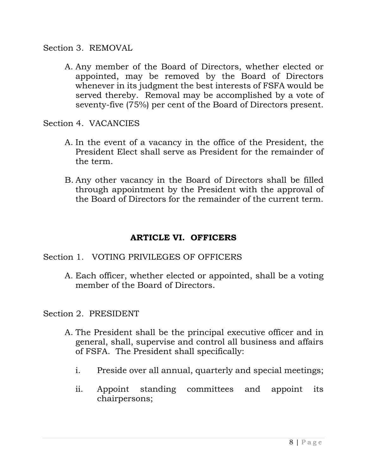Section 3. REMOVAL

A. Any member of the Board of Directors, whether elected or appointed, may be removed by the Board of Directors whenever in its judgment the best interests of FSFA would be served thereby. Removal may be accomplished by a vote of seventy-five (75%) per cent of the Board of Directors present.

Section 4. VACANCIES

- A. In the event of a vacancy in the office of the President, the President Elect shall serve as President for the remainder of the term.
- B. Any other vacancy in the Board of Directors shall be filled through appointment by the President with the approval of the Board of Directors for the remainder of the current term.

# **ARTICLE VI. OFFICERS**

# Section 1. VOTING PRIVILEGES OF OFFICERS

A. Each officer, whether elected or appointed, shall be a voting member of the Board of Directors.

Section 2. PRESIDENT

- A. The President shall be the principal executive officer and in general, shall, supervise and control all business and affairs of FSFA. The President shall specifically:
	- i. Preside over all annual, quarterly and special meetings;
	- ii. Appoint standing committees and appoint its chairpersons;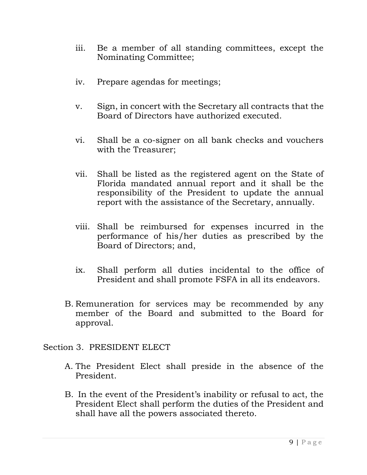- iii. Be a member of all standing committees, except the Nominating Committee;
- iv. Prepare agendas for meetings;
- v. Sign, in concert with the Secretary all contracts that the Board of Directors have authorized executed.
- vi. Shall be a co-signer on all bank checks and vouchers with the Treasurer;
- vii. Shall be listed as the registered agent on the State of Florida mandated annual report and it shall be the responsibility of the President to update the annual report with the assistance of the Secretary, annually.
- viii. Shall be reimbursed for expenses incurred in the performance of his/her duties as prescribed by the Board of Directors; and,
- ix. Shall perform all duties incidental to the office of President and shall promote FSFA in all its endeavors.
- B. Remuneration for services may be recommended by any member of the Board and submitted to the Board for approval.

#### Section 3. PRESIDENT ELECT

- A. The President Elect shall preside in the absence of the President.
- B. In the event of the President's inability or refusal to act, the President Elect shall perform the duties of the President and shall have all the powers associated thereto.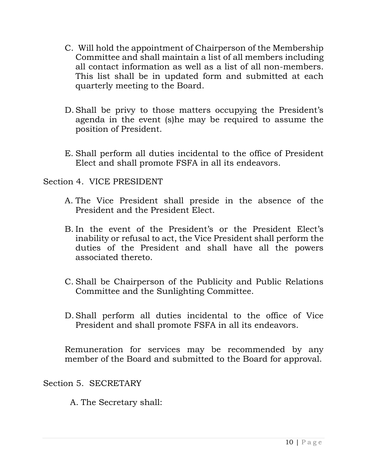- C. Will hold the appointment of Chairperson of the Membership Committee and shall maintain a list of all members including all contact information as well as a list of all non-members. This list shall be in updated form and submitted at each quarterly meeting to the Board.
- D.Shall be privy to those matters occupying the President's agenda in the event (s)he may be required to assume the position of President.
- E. Shall perform all duties incidental to the office of President Elect and shall promote FSFA in all its endeavors.

Section 4. VICE PRESIDENT

- A. The Vice President shall preside in the absence of the President and the President Elect.
- B. In the event of the President's or the President Elect's inability or refusal to act, the Vice President shall perform the duties of the President and shall have all the powers associated thereto.
- C. Shall be Chairperson of the Publicity and Public Relations Committee and the Sunlighting Committee.
- D.Shall perform all duties incidental to the office of Vice President and shall promote FSFA in all its endeavors.

Remuneration for services may be recommended by any member of the Board and submitted to the Board for approval.

Section 5. SECRETARY

A. The Secretary shall: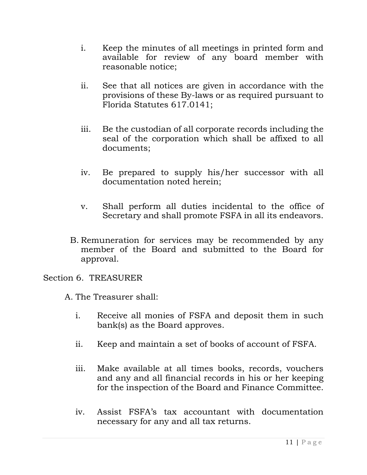- i. Keep the minutes of all meetings in printed form and available for review of any board member with reasonable notice;
- ii. See that all notices are given in accordance with the provisions of these By-laws or as required pursuant to Florida Statutes 617.0141;
- iii. Be the custodian of all corporate records including the seal of the corporation which shall be affixed to all documents;
- iv. Be prepared to supply his/her successor with all documentation noted herein;
- v. Shall perform all duties incidental to the office of Secretary and shall promote FSFA in all its endeavors.
- B. Remuneration for services may be recommended by any member of the Board and submitted to the Board for approval.

### Section 6. TREASURER

A. The Treasurer shall:

- i. Receive all monies of FSFA and deposit them in such bank(s) as the Board approves.
- ii. Keep and maintain a set of books of account of FSFA.
- iii. Make available at all times books, records, vouchers and any and all financial records in his or her keeping for the inspection of the Board and Finance Committee.
- iv. Assist FSFA's tax accountant with documentation necessary for any and all tax returns.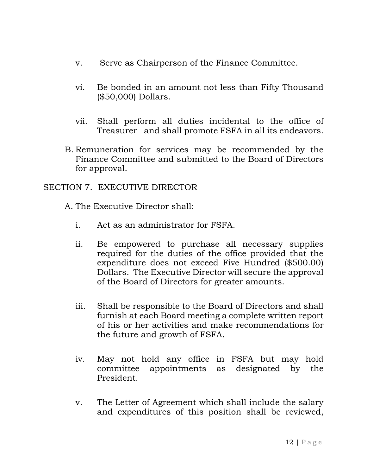- v. Serve as Chairperson of the Finance Committee.
- vi. Be bonded in an amount not less than Fifty Thousand (\$50,000) Dollars.
- vii. Shall perform all duties incidental to the office of Treasurer and shall promote FSFA in all its endeavors.
- B. Remuneration for services may be recommended by the Finance Committee and submitted to the Board of Directors for approval.

### SECTION 7. EXECUTIVE DIRECTOR

- A. The Executive Director shall:
	- i. Act as an administrator for FSFA.
	- ii. Be empowered to purchase all necessary supplies required for the duties of the office provided that the expenditure does not exceed Five Hundred (\$500.00) Dollars. The Executive Director will secure the approval of the Board of Directors for greater amounts.
	- iii. Shall be responsible to the Board of Directors and shall furnish at each Board meeting a complete written report of his or her activities and make recommendations for the future and growth of FSFA.
	- iv. May not hold any office in FSFA but may hold committee appointments as designated by the President.
	- v. The Letter of Agreement which shall include the salary and expenditures of this position shall be reviewed,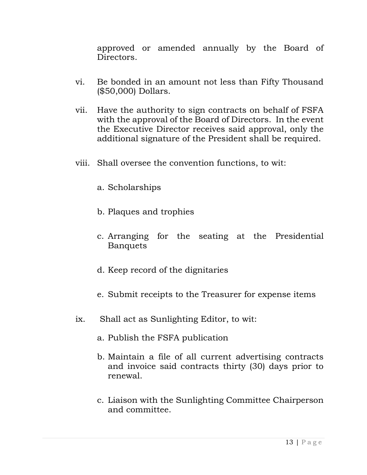approved or amended annually by the Board of Directors.

- vi. Be bonded in an amount not less than Fifty Thousand (\$50,000) Dollars.
- vii. Have the authority to sign contracts on behalf of FSFA with the approval of the Board of Directors. In the event the Executive Director receives said approval, only the additional signature of the President shall be required.
- viii. Shall oversee the convention functions, to wit:
	- a. Scholarships
	- b. Plaques and trophies
	- c. Arranging for the seating at the Presidential Banquets
	- d. Keep record of the dignitaries
	- e. Submit receipts to the Treasurer for expense items
- ix. Shall act as Sunlighting Editor, to wit:
	- a. Publish the FSFA publication
	- b. Maintain a file of all current advertising contracts and invoice said contracts thirty (30) days prior to renewal.
	- c. Liaison with the Sunlighting Committee Chairperson and committee.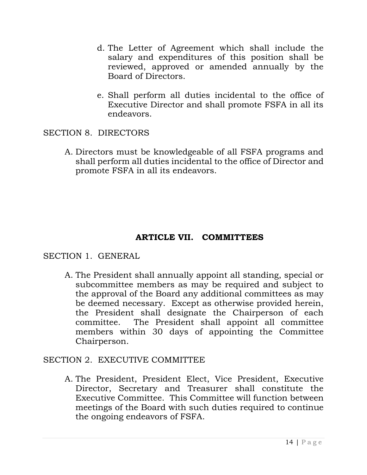- d. The Letter of Agreement which shall include the salary and expenditures of this position shall be reviewed, approved or amended annually by the Board of Directors.
- e. Shall perform all duties incidental to the office of Executive Director and shall promote FSFA in all its endeavors.

SECTION 8. DIRECTORS

A. Directors must be knowledgeable of all FSFA programs and shall perform all duties incidental to the office of Director and promote FSFA in all its endeavors.

# **ARTICLE VII. COMMITTEES**

# SECTION 1. GENERAL

A. The President shall annually appoint all standing, special or subcommittee members as may be required and subject to the approval of the Board any additional committees as may be deemed necessary. Except as otherwise provided herein, the President shall designate the Chairperson of each committee. The President shall appoint all committee members within 30 days of appointing the Committee Chairperson.

# SECTION 2. EXECUTIVE COMMITTEE

A. The President, President Elect, Vice President, Executive Director, Secretary and Treasurer shall constitute the Executive Committee. This Committee will function between meetings of the Board with such duties required to continue the ongoing endeavors of FSFA.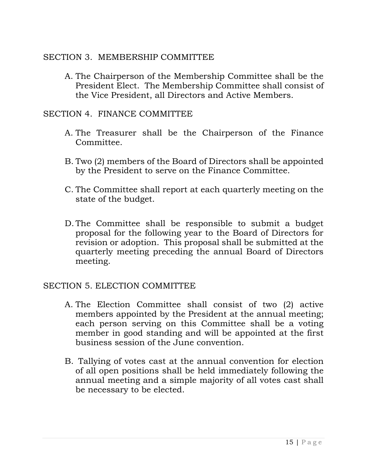## SECTION 3. MEMBERSHIP COMMITTEE

A. The Chairperson of the Membership Committee shall be the President Elect. The Membership Committee shall consist of the Vice President, all Directors and Active Members.

## SECTION 4. FINANCE COMMITTEE

- A. The Treasurer shall be the Chairperson of the Finance Committee.
- B. Two (2) members of the Board of Directors shall be appointed by the President to serve on the Finance Committee.
- C. The Committee shall report at each quarterly meeting on the state of the budget.
- D. The Committee shall be responsible to submit a budget proposal for the following year to the Board of Directors for revision or adoption. This proposal shall be submitted at the quarterly meeting preceding the annual Board of Directors meeting.

### SECTION 5. ELECTION COMMITTEE

- A. The Election Committee shall consist of two (2) active members appointed by the President at the annual meeting; each person serving on this Committee shall be a voting member in good standing and will be appointed at the first business session of the June convention.
- B. Tallying of votes cast at the annual convention for election of all open positions shall be held immediately following the annual meeting and a simple majority of all votes cast shall be necessary to be elected.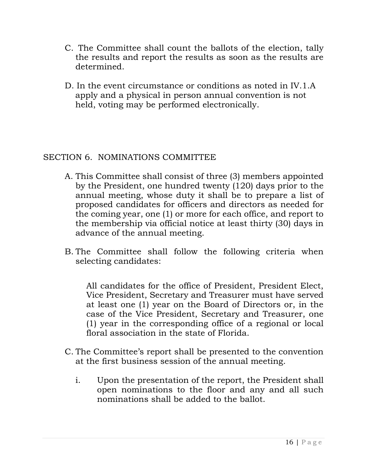- C. The Committee shall count the ballots of the election, tally the results and report the results as soon as the results are determined.
- D. In the event circumstance or conditions as noted in IV.1.A apply and a physical in person annual convention is not held, voting may be performed electronically.

# SECTION 6. NOMINATIONS COMMITTEE

- A. This Committee shall consist of three (3) members appointed by the President, one hundred twenty (120) days prior to the annual meeting, whose duty it shall be to prepare a list of proposed candidates for officers and directors as needed for the coming year, one (1) or more for each office, and report to the membership via official notice at least thirty (30) days in advance of the annual meeting.
- B. The Committee shall follow the following criteria when selecting candidates:

All candidates for the office of President, President Elect, Vice President, Secretary and Treasurer must have served at least one (1) year on the Board of Directors or, in the case of the Vice President, Secretary and Treasurer, one (1) year in the corresponding office of a regional or local floral association in the state of Florida.

- C. The Committee's report shall be presented to the convention at the first business session of the annual meeting.
	- i. Upon the presentation of the report, the President shall open nominations to the floor and any and all such nominations shall be added to the ballot.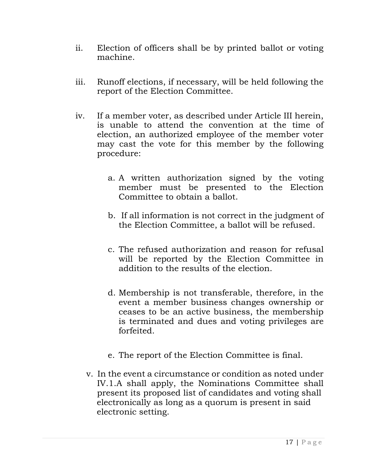- ii. Election of officers shall be by printed ballot or voting machine.
- iii. Runoff elections, if necessary, will be held following the report of the Election Committee.
- iv. If a member voter, as described under Article III herein, is unable to attend the convention at the time of election, an authorized employee of the member voter may cast the vote for this member by the following procedure:
	- a. A written authorization signed by the voting member must be presented to the Election Committee to obtain a ballot.
	- b. If all information is not correct in the judgment of the Election Committee, a ballot will be refused.
	- c. The refused authorization and reason for refusal will be reported by the Election Committee in addition to the results of the election.
	- d. Membership is not transferable, therefore, in the event a member business changes ownership or ceases to be an active business, the membership is terminated and dues and voting privileges are forfeited.
	- e. The report of the Election Committee is final.
	- v. In the event a circumstance or condition as noted under IV.1.A shall apply, the Nominations Committee shall present its proposed list of candidates and voting shall electronically as long as a quorum is present in said electronic setting.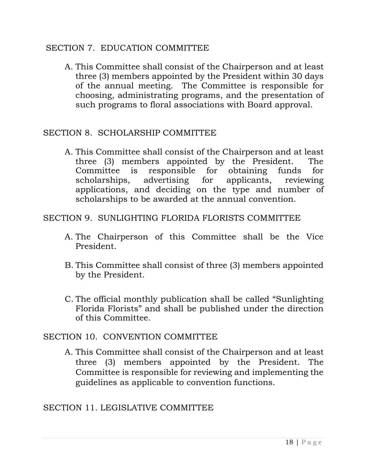#### SECTION 7. EDUCATION COMMITTEE

A. This Committee shall consist of the Chairperson and at least three (3) members appointed by the President within 30 days of the annual meeting. The Committee is responsible for choosing, administrating programs, and the presentation of such programs to floral associations with Board approval.

#### SECTION 8. SCHOLARSHIP COMMITTEE

A. This Committee shall consist of the Chairperson and at least three (3) members appointed by the President. The Committee is responsible for obtaining funds for scholarships, advertising for applicants, reviewing applications, and deciding on the type and number of scholarships to be awarded at the annual convention.

#### SECTION 9. SUNLIGHTING FLORIDA FLORISTS COMMITTEE

- A. The Chairperson of this Committee shall be the Vice President.
- B. This Committee shall consist of three (3) members appointed by the President.
- C. The official monthly publication shall be called "Sunlighting Florida Florists" and shall be published under the direction of this Committee.

### SECTION 10. CONVENTION COMMITTEE

A. This Committee shall consist of the Chairperson and at least three (3) members appointed by the President. The Committee is responsible for reviewing and implementing the guidelines as applicable to convention functions.

### SECTION 11. LEGISLATIVE COMMITTEE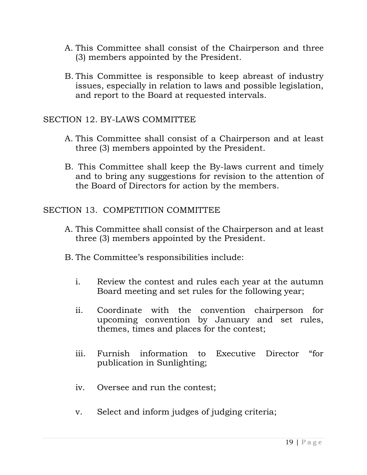- A. This Committee shall consist of the Chairperson and three (3) members appointed by the President.
- B. This Committee is responsible to keep abreast of industry issues, especially in relation to laws and possible legislation, and report to the Board at requested intervals.

### SECTION 12. BY-LAWS COMMITTEE

- A. This Committee shall consist of a Chairperson and at least three (3) members appointed by the President.
- B. This Committee shall keep the By-laws current and timely and to bring any suggestions for revision to the attention of the Board of Directors for action by the members.

### SECTION 13. COMPETITION COMMITTEE

- A. This Committee shall consist of the Chairperson and at least three (3) members appointed by the President.
- B. The Committee's responsibilities include:
	- i. Review the contest and rules each year at the autumn Board meeting and set rules for the following year;
	- ii. Coordinate with the convention chairperson for upcoming convention by January and set rules, themes, times and places for the contest;
	- iii. Furnish information to Executive Director "for publication in Sunlighting;
	- iv. Oversee and run the contest;
	- v. Select and inform judges of judging criteria;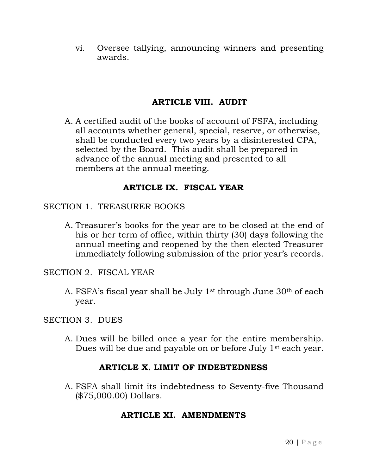vi. Oversee tallying, announcing winners and presenting awards.

# **ARTICLE VIII. AUDIT**

A. A certified audit of the books of account of FSFA, including all accounts whether general, special, reserve, or otherwise, shall be conducted every two years by a disinterested CPA, selected by the Board. This audit shall be prepared in advance of the annual meeting and presented to all members at the annual meeting.

# **ARTICLE IX. FISCAL YEAR**

#### SECTION 1. TREASURER BOOKS

A. Treasurer's books for the year are to be closed at the end of his or her term of office, within thirty (30) days following the annual meeting and reopened by the then elected Treasurer immediately following submission of the prior year's records.

SECTION 2. FISCAL YEAR

A. FSFA's fiscal year shall be July 1st through June 30th of each year.

#### SECTION 3. DUES

A. Dues will be billed once a year for the entire membership. Dues will be due and payable on or before July 1<sup>st</sup> each year.

### **ARTICLE X. LIMIT OF INDEBTEDNESS**

A. FSFA shall limit its indebtedness to Seventy-five Thousand (\$75,000.00) Dollars.

# **ARTICLE XI. AMENDMENTS**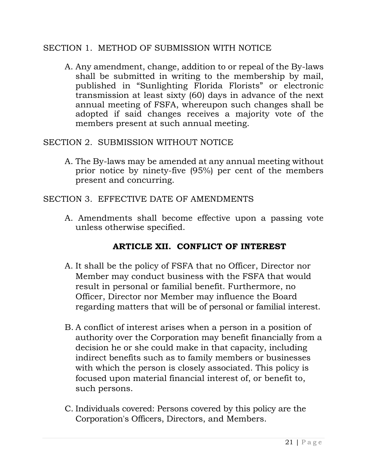#### SECTION 1. METHOD OF SUBMISSION WITH NOTICE

A. Any amendment, change, addition to or repeal of the By-laws shall be submitted in writing to the membership by mail, published in "Sunlighting Florida Florists" or electronic transmission at least sixty (60) days in advance of the next annual meeting of FSFA, whereupon such changes shall be adopted if said changes receives a majority vote of the members present at such annual meeting.

#### SECTION 2. SUBMISSION WITHOUT NOTICE

A. The By-laws may be amended at any annual meeting without prior notice by ninety-five (95%) per cent of the members present and concurring.

#### SECTION 3. EFFECTIVE DATE OF AMENDMENTS

A. Amendments shall become effective upon a passing vote unless otherwise specified.

# **ARTICLE XII. CONFLICT OF INTEREST**

- A. It shall be the policy of FSFA that no Officer, Director nor Member may conduct business with the FSFA that would result in personal or familial benefit. Furthermore, no Officer, Director nor Member may influence the Board regarding matters that will be of personal or familial interest.
- B. A conflict of interest arises when a person in a position of authority over the Corporation may benefit financially from a decision he or she could make in that capacity, including indirect benefits such as to family members or businesses with which the person is closely associated. This policy is focused upon material financial interest of, or benefit to, such persons.
- C. Individuals covered: Persons covered by this policy are the Corporation's Officers, Directors, and Members.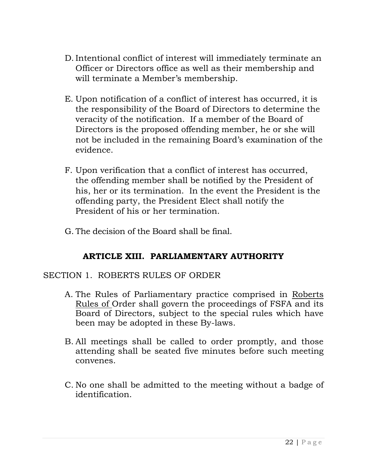- D. Intentional conflict of interest will immediately terminate an Officer or Directors office as well as their membership and will terminate a Member's membership.
- E. Upon notification of a conflict of interest has occurred, it is the responsibility of the Board of Directors to determine the veracity of the notification. If a member of the Board of Directors is the proposed offending member, he or she will not be included in the remaining Board's examination of the evidence.
- F. Upon verification that a conflict of interest has occurred, the offending member shall be notified by the President of his, her or its termination. In the event the President is the offending party, the President Elect shall notify the President of his or her termination.
- G. The decision of the Board shall be final.

# **ARTICLE XIII. PARLIAMENTARY AUTHORITY**

### SECTION 1. ROBERTS RULES OF ORDER

- A. The Rules of Parliamentary practice comprised in Roberts Rules of Order shall govern the proceedings of FSFA and its Board of Directors, subject to the special rules which have been may be adopted in these By-laws.
- B. All meetings shall be called to order promptly, and those attending shall be seated five minutes before such meeting convenes.
- C. No one shall be admitted to the meeting without a badge of identification.